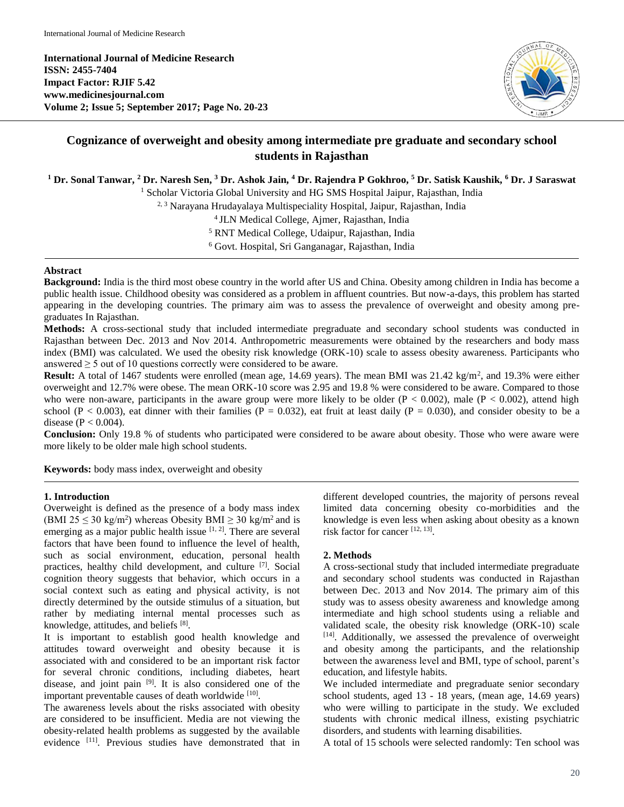**International Journal of Medicine Research ISSN: 2455-7404 Impact Factor: RJIF 5.42 www.medicinesjournal.com Volume 2; Issue 5; September 2017; Page No. 20-23**



# **Cognizance of overweight and obesity among intermediate pre graduate and secondary school students in Rajasthan**

## **<sup>1</sup> Dr. Sonal Tanwar, <sup>2</sup> Dr. Naresh Sen, <sup>3</sup> Dr. Ashok Jain, <sup>4</sup> Dr. Rajendra P Gokhroo, <sup>5</sup> Dr. Satisk Kaushik, <sup>6</sup> Dr. J Saraswat**

<sup>1</sup> Scholar Victoria Global University and HG SMS Hospital Jaipur, Rajasthan, India

2, 3 Narayana Hrudayalaya Multispeciality Hospital, Jaipur, Rajasthan, India

<sup>4</sup>JLN Medical College, Ajmer, Rajasthan, India

<sup>5</sup> RNT Medical College, Udaipur, Rajasthan, India

<sup>6</sup> Govt. Hospital, Sri Ganganagar, Rajasthan, India

#### **Abstract**

**Background:** India is the third most obese country in the world after US and China. Obesity among children in India has become a public health issue. Childhood obesity was considered as a problem in affluent countries. But now-a-days, this problem has started appearing in the developing countries. The primary aim was to assess the prevalence of overweight and obesity among pregraduates In Rajasthan.

**Methods:** A cross-sectional study that included intermediate pregraduate and secondary school students was conducted in Rajasthan between Dec. 2013 and Nov 2014. Anthropometric measurements were obtained by the researchers and body mass index (BMI) was calculated. We used the obesity risk knowledge (ORK-10) scale to assess obesity awareness. Participants who answered  $\geq$  5 out of 10 questions correctly were considered to be aware.

Result: A total of 1467 students were enrolled (mean age, 14.69 years). The mean BMI was 21.42 kg/m<sup>2</sup>, and 19.3% were either overweight and 12.7% were obese. The mean ORK-10 score was 2.95 and 19.8 % were considered to be aware. Compared to those who were non-aware, participants in the aware group were more likely to be older  $(P < 0.002)$ , male  $(P < 0.002)$ , attend high school (P < 0.003), eat dinner with their families (P = 0.032), eat fruit at least daily (P = 0.030), and consider obesity to be a disease  $(P < 0.004)$ .

**Conclusion:** Only 19.8 % of students who participated were considered to be aware about obesity. Those who were aware were more likely to be older male high school students.

**Keywords:** body mass index, overweight and obesity

#### **1. Introduction**

Overweight is defined as the presence of a body mass index (BMI 25  $\leq$  30 kg/m<sup>2</sup>) whereas Obesity BMI  $\geq$  30 kg/m<sup>2</sup> and is emerging as a major public health issue  $[1, 2]$ . There are several factors that have been found to influence the level of health, such as social environment, education, personal health practices, healthy child development, and culture [7]. Social cognition theory suggests that behavior, which occurs in a social context such as eating and physical activity, is not directly determined by the outside stimulus of a situation, but rather by mediating internal mental processes such as knowledge, attitudes, and beliefs [8].

It is important to establish good health knowledge and attitudes toward overweight and obesity because it is associated with and considered to be an important risk factor for several chronic conditions, including diabetes, heart disease, and joint pain [9]. It is also considered one of the important preventable causes of death worldwide [10].

The awareness levels about the risks associated with obesity are considered to be insufficient. Media are not viewing the obesity-related health problems as suggested by the available evidence [11]. Previous studies have demonstrated that in different developed countries, the majority of persons reveal limited data concerning obesity co-morbidities and the knowledge is even less when asking about obesity as a known risk factor for cancer [12, 13] .

## **2. Methods**

A cross-sectional study that included intermediate pregraduate and secondary school students was conducted in Rajasthan between Dec. 2013 and Nov 2014. The primary aim of this study was to assess obesity awareness and knowledge among intermediate and high school students using a reliable and validated scale, the obesity risk knowledge (ORK-10) scale [14]. Additionally, we assessed the prevalence of overweight and obesity among the participants, and the relationship between the awareness level and BMI, type of school, parent's education, and lifestyle habits.

We included intermediate and pregraduate senior secondary school students, aged 13 - 18 years, (mean age, 14.69 years) who were willing to participate in the study. We excluded students with chronic medical illness, existing psychiatric disorders, and students with learning disabilities.

A total of 15 schools were selected randomly: Ten school was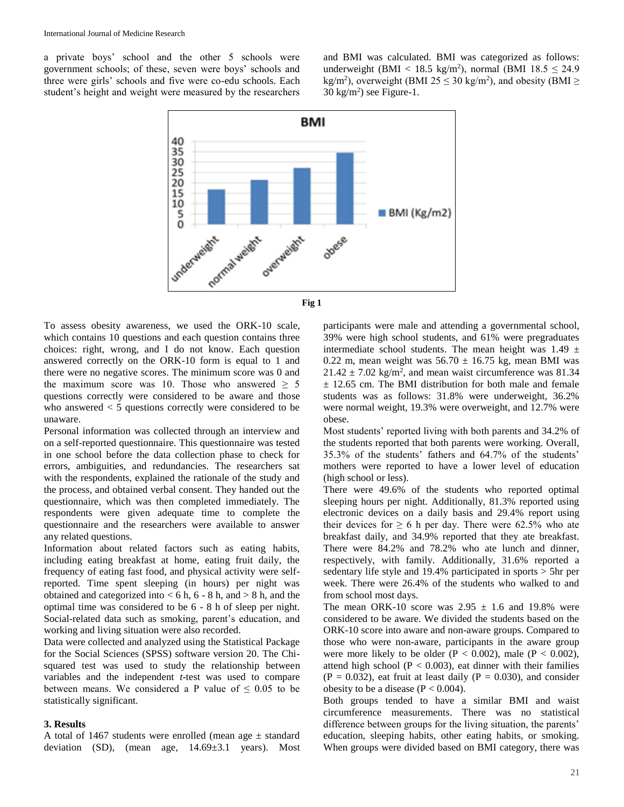a private boys' school and the other 5 schools were government schools; of these, seven were boys' schools and three were girls' schools and five were co-edu schools. Each student's height and weight were measured by the researchers

and BMI was calculated. BMI was categorized as follows: underweight (BMI <  $18.5 \text{ kg/m}^2$ ), normal (BMI  $18.5 \leq 24.9$ kg/m<sup>2</sup>), overweight (BMI 25  $\leq$  30 kg/m<sup>2</sup>), and obesity (BMI  $\geq$  $30 \text{ kg/m}^2$ ) see Figure-1.





To assess obesity awareness, we used the ORK-10 scale, which contains 10 questions and each question contains three choices: right, wrong, and I do not know. Each question answered correctly on the ORK-10 form is equal to 1 and there were no negative scores. The minimum score was 0 and the maximum score was 10. Those who answered  $\geq$  5 questions correctly were considered to be aware and those who answered < 5 questions correctly were considered to be unaware.

Personal information was collected through an interview and on a self-reported questionnaire. This questionnaire was tested in one school before the data collection phase to check for errors, ambiguities, and redundancies. The researchers sat with the respondents, explained the rationale of the study and the process, and obtained verbal consent. They handed out the questionnaire, which was then completed immediately. The respondents were given adequate time to complete the questionnaire and the researchers were available to answer any related questions.

Information about related factors such as eating habits, including eating breakfast at home, eating fruit daily, the frequency of eating fast food, and physical activity were selfreported. Time spent sleeping (in hours) per night was obtained and categorized into  $< 6$  h,  $6 - 8$  h, and  $> 8$  h, and the optimal time was considered to be 6 - 8 h of sleep per night. Social-related data such as smoking, parent's education, and working and living situation were also recorded.

Data were collected and analyzed using the Statistical Package for the Social Sciences (SPSS) software version 20. The Chisquared test was used to study the relationship between variables and the independent *t*-test was used to compare between means. We considered a P value of  $\leq 0.05$  to be statistically significant.

### **3. Results**

A total of 1467 students were enrolled (mean age  $\pm$  standard deviation (SD), (mean age,  $14.69 \pm 3.1$  years). Most

participants were male and attending a governmental school, 39% were high school students, and 61% were pregraduates intermediate school students. The mean height was  $1.49 \pm$ 0.22 m, mean weight was  $56.70 \pm 16.75$  kg, mean BMI was  $21.42 \pm 7.02$  kg/m<sup>2</sup>, and mean waist circumference was 81.34 ± 12.65 cm. The BMI distribution for both male and female students was as follows: 31.8% were underweight, 36.2% were normal weight, 19.3% were overweight, and 12.7% were obese.

Most students' reported living with both parents and 34.2% of the students reported that both parents were working. Overall, 35.3% of the students' fathers and 64.7% of the students' mothers were reported to have a lower level of education (high school or less).

There were 49.6% of the students who reported optimal sleeping hours per night. Additionally, 81.3% reported using electronic devices on a daily basis and 29.4% report using their devices for  $\geq 6$  h per day. There were 62.5% who ate breakfast daily, and 34.9% reported that they ate breakfast. There were 84.2% and 78.2% who ate lunch and dinner, respectively, with family. Additionally, 31.6% reported a sedentary life style and 19.4% participated in sports > 5hr per week. There were 26.4% of the students who walked to and from school most days.

The mean ORK-10 score was  $2.95 \pm 1.6$  and 19.8% were considered to be aware. We divided the students based on the ORK-10 score into aware and non-aware groups. Compared to those who were non-aware, participants in the aware group were more likely to be older ( $P < 0.002$ ), male ( $P < 0.002$ ), attend high school ( $P < 0.003$ ), eat dinner with their families  $(P = 0.032)$ , eat fruit at least daily  $(P = 0.030)$ , and consider obesity to be a disease  $(P < 0.004)$ .

Both groups tended to have a similar BMI and waist circumference measurements. There was no statistical difference between groups for the living situation, the parents' education, sleeping habits, other eating habits, or smoking. When groups were divided based on BMI category, there was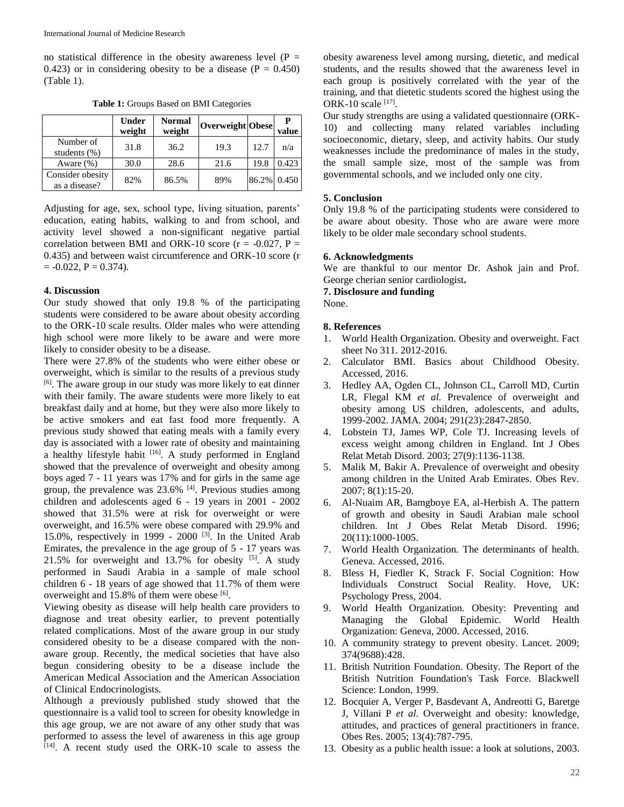no statistical difference in the obesity awareness level  $(P =$ 0.423) or in considering obesity to be a disease  $(P = 0.450)$ (Table 1).

|                                   | <b>Under</b><br>weight | Normal<br>weight | Overweight Obese |             | value |
|-----------------------------------|------------------------|------------------|------------------|-------------|-------|
| Number of<br>students $(\%)$      | 31.8                   | 36.2             | 19.3             | 12.7        | n/a   |
| Aware $(\%)$                      | 30.0                   | 28.6             | 21.6             | 19.8        | 0.423 |
| Consider obesity<br>as a disease? | 82%                    | 86.5%            | 89%              | 86.2% 0.450 |       |

**Table 1:** Groups Based on BMI Categories

Adjusting for age, sex, school type, living situation, parents' education, eating habits, walking to and from school, and activity level showed a non-significant negative partial correlation between BMI and ORK-10 score ( $r = -0.027$ ,  $P =$ 0.435) and between waist circumference and ORK-10 score (r  $= -0.022$ ,  $P = 0.374$ ).

#### **4. Discussion**

Our study showed that only 19.8 % of the participating students were considered to be aware about obesity according to the ORK-10 scale results. Older males who were attending high school were more likely to be aware and were more likely to consider obesity to be a disease.

There were 27.8% of the students who were either obese or overweight, which is similar to the results of a previous study [6]. The aware group in our study was more likely to eat dinner with their family. The aware students were more likely to eat breakfast daily and at home, but they were also more likely to be active smokers and eat fast food more frequently. A previous study showed that eating meals with a family every day is associated with a lower rate of obesity and maintaining a healthy lifestyle habit  $[16]$ . A study performed in England showed that the prevalence of overweight and obesity among boys aged 7 - 11 years was 17% and for girls in the same age group, the prevalence was  $23.6\%$  [4]. Previous studies among children and adolescents aged 6 - 19 years in 2001 - 2002 showed that 31.5% were at risk for overweight or were overweight, and 16.5% were obese compared with 29.9% and 15.0%, respectively in 1999 - 2000  $^{[3]}$ . In the United Arab Emirates, the prevalence in the age group of 5 - 17 years was  $21.5\%$  for overweight and 13.7% for obesity  $[5]$ . A study performed in Saudi Arabia in a sample of male school children 6 - 18 years of age showed that 11.7% of them were overweight and 15.8% of them were obese [6].

Viewing obesity as disease will help health care providers to diagnose and treat obesity earlier, to prevent potentially related complications. Most of the aware group in our study considered obesity to be a disease compared with the nonaware group. Recently, the medical societies that have also begun considering obesity to be a disease include the American Medical Association and the American Association of Clinical Endocrinologists.

Although a previously published study showed that the questionnaire is a valid tool to screen for obesity knowledge in this age group, we are not aware of any other study that was performed to assess the level of awareness in this age group [14]. A recent study used the ORK-10 scale to assess the obesity awareness level among nursing, dietetic, and medical students, and the results showed that the awareness level in each group is positively correlated with the year of the training, and that dietetic students scored the highest using the ORK-10 scale [17].

Our study strengths are using a validated questionnaire (ORK-10) and collecting many related variables including socioeconomic, dietary, sleep, and activity habits. Our study weaknesses include the predominance of males in the study, the small sample size, most of the sample was from governmental schools, and we included only one city.

#### **5. Conclusion**

Only 19.8 % of the participating students were considered to be aware about obesity. Those who are aware were more likely to be older male secondary school students.

#### **6. Acknowledgments**

We are thankful to our mentor Dr. Ashok jain and Prof. George cherian senior cardiologist**.**

**7. Disclosure and funding**

None.

#### **8. References**

- 1. World Health Organization. Obesity and overweight. Fact sheet No 311. 2012-2016.
- 2. Calculator BMI. Basics about Childhood Obesity. Accessed, 2016.
- 3. Hedley AA, Ogden CL, Johnson CL, Carroll MD, Curtin LR, Flegal KM *et al.* Prevalence of overweight and obesity among US children, adolescents, and adults, 1999-2002. JAMA. 2004; 291(23):2847-2850.
- 4. Lobstein TJ, James WP, Cole TJ. Increasing levels of excess weight among children in England. Int J Obes Relat Metab Disord. 2003; 27(9):1136-1138.
- 5. Malik M, Bakir A. Prevalence of overweight and obesity among children in the United Arab Emirates. Obes Rev. 2007; 8(1):15-20.
- 6. Al-Nuaim AR, Bamgboye EA, al-Herbish A. The pattern of growth and obesity in Saudi Arabian male school children. Int J Obes Relat Metab Disord. 1996; 20(11):1000-1005.
- 7. World Health Organization. The determinants of health. Geneva. Accessed, 2016.
- 8. Bless H, Fiedler K, Strack F. Social Cognition: How Individuals Construct Social Reality. Hove, UK: Psychology Press, 2004.
- 9. World Health Organization. Obesity: Preventing and Managing the Global Epidemic. World Health Organization: Geneva, 2000. Accessed, 2016.
- 10. A community strategy to prevent obesity. Lancet. 2009; 374(9688):428.
- 11. British Nutrition Foundation. Obesity. The Report of the British Nutrition Foundation's Task Force. Blackwell Science: London, 1999.
- 12. Bocquier A, Verger P, Basdevant A, Andreotti G, Baretge J, Villani P *et al.* Overweight and obesity: knowledge, attitudes, and practices of general practitioners in france. Obes Res. 2005; 13(4):787-795.
- 13. Obesity as a public health issue: a look at solutions, 2003.